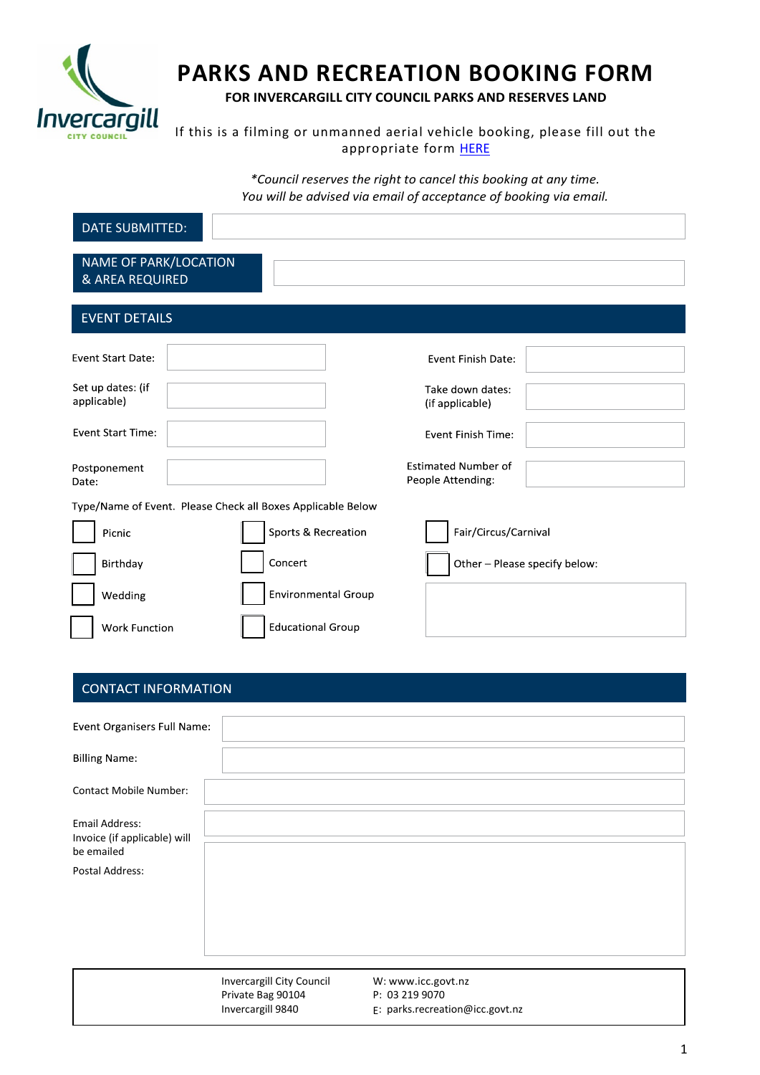

# **PARKS AND RECREATION BOOKING FORM**

**FOR INVERCARGILL CITY COUNCIL PARKS AND RESERVES LAND**

If this is a filming or unmanned aerial vehicle booking, please fill out the appropriate form [HERE](https://icc.govt.nz/parks-and-reserves/parks-booking-fees-and-forms/)

> *\*Council reserves the right to cancel this booking at any time. You will be advised via email of acceptance of booking via email.*

| <b>DATE SUBMITTED:</b>                                      |                            |                                                 |  |  |
|-------------------------------------------------------------|----------------------------|-------------------------------------------------|--|--|
| NAME OF PARK/LOCATION<br>& AREA REQUIRED                    |                            |                                                 |  |  |
| <b>EVENT DETAILS</b>                                        |                            |                                                 |  |  |
| <b>Event Start Date:</b>                                    |                            | Event Finish Date:                              |  |  |
| Set up dates: (if<br>applicable)                            |                            | Take down dates:<br>(if applicable)             |  |  |
| <b>Event Start Time:</b>                                    |                            | Event Finish Time:                              |  |  |
| Postponement<br>Date:                                       |                            | <b>Estimated Number of</b><br>People Attending: |  |  |
| Type/Name of Event. Please Check all Boxes Applicable Below |                            |                                                 |  |  |
| Picnic                                                      | Sports & Recreation        | Fair/Circus/Carnival                            |  |  |
| Birthday                                                    | Concert                    | Other - Please specify below:                   |  |  |
| Wedding                                                     | <b>Environmental Group</b> |                                                 |  |  |
| <b>Work Function</b>                                        | <b>Educational Group</b>   |                                                 |  |  |

## **CONTACT INFORMATION**

| Event Organisers Full Name:                           |                                        |                                                   |
|-------------------------------------------------------|----------------------------------------|---------------------------------------------------|
| <b>Billing Name:</b>                                  |                                        |                                                   |
| <b>Contact Mobile Number:</b>                         |                                        |                                                   |
| <b>Email Address:</b><br>Invoice (if applicable) will |                                        |                                                   |
| be emailed                                            |                                        |                                                   |
| Postal Address:                                       |                                        |                                                   |
|                                                       |                                        |                                                   |
|                                                       |                                        |                                                   |
|                                                       |                                        |                                                   |
|                                                       |                                        |                                                   |
|                                                       |                                        |                                                   |
|                                                       | <b>Invercargill City Council</b>       | W: www.icc.govt.nz                                |
|                                                       | Private Bag 90104<br>Invercargill 9840 | P: 03 219 9070<br>E: parks.recreation@icc.govt.nz |
|                                                       |                                        |                                                   |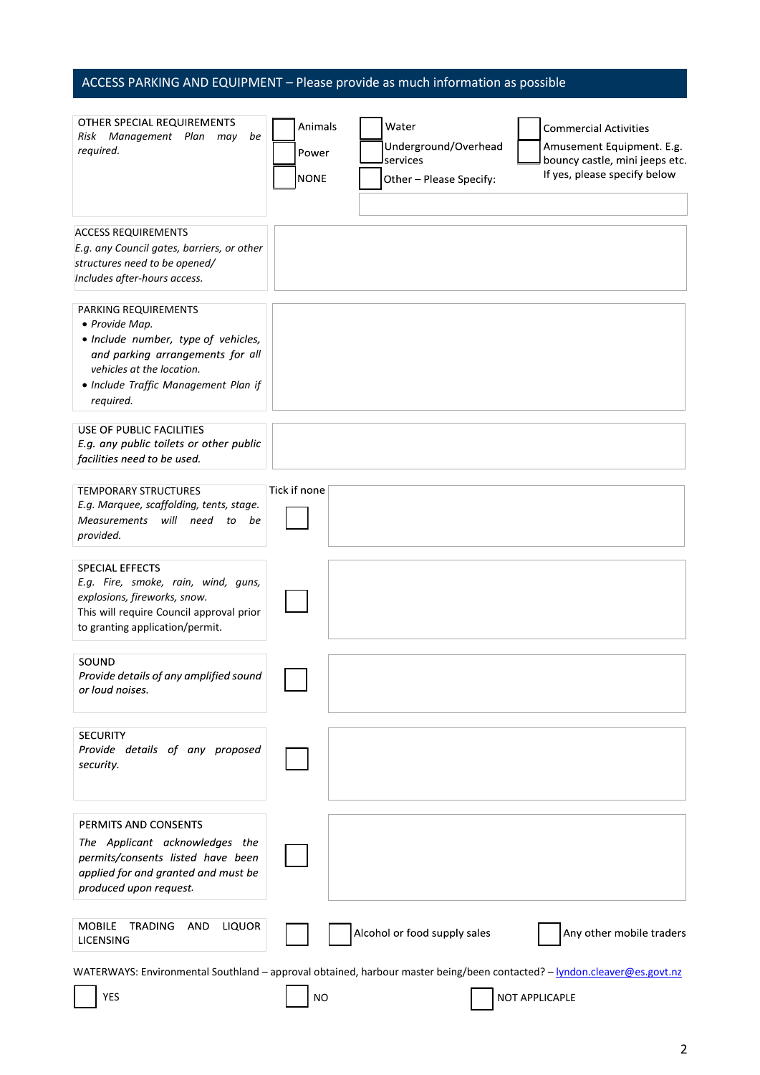## ACCESS PARKING AND EQUIPMENT – Please provide as much information as possible

| OTHER SPECIAL REQUIREMENTS<br>Risk Management Plan may<br>be<br>required.                                                                                                                           | Animals<br>Power<br><b>NONE</b> | Water<br>Underground/Overhead<br>services<br>Other - Please Specify: | <b>Commercial Activities</b><br>Amusement Equipment. E.g.<br>bouncy castle, mini jeeps etc.<br>If yes, please specify below                |
|-----------------------------------------------------------------------------------------------------------------------------------------------------------------------------------------------------|---------------------------------|----------------------------------------------------------------------|--------------------------------------------------------------------------------------------------------------------------------------------|
| <b>ACCESS REQUIREMENTS</b><br>E.g. any Council gates, barriers, or other<br>structures need to be opened/<br>Includes after-hours access.                                                           |                                 |                                                                      |                                                                                                                                            |
| PARKING REQUIREMENTS<br>• Provide Map.<br>· Include number, type of vehicles,<br>and parking arrangements for all<br>vehicles at the location.<br>• Include Traffic Management Plan if<br>required. |                                 |                                                                      |                                                                                                                                            |
| USE OF PUBLIC FACILITIES<br>E.g. any public toilets or other public<br>facilities need to be used.                                                                                                  |                                 |                                                                      |                                                                                                                                            |
| <b>TEMPORARY STRUCTURES</b><br>E.g. Marquee, scaffolding, tents, stage.<br>Measurements will need to<br>be<br>provided.                                                                             | Tick if none                    |                                                                      |                                                                                                                                            |
| <b>SPECIAL EFFECTS</b><br>E.g. Fire, smoke, rain, wind, guns,<br>explosions, fireworks, snow.<br>This will require Council approval prior<br>to granting application/permit.                        |                                 |                                                                      |                                                                                                                                            |
| SOUND<br>Provide details of any amplified sound<br>or loud noises.                                                                                                                                  |                                 |                                                                      |                                                                                                                                            |
| <b>SECURITY</b><br>Provide details of any proposed<br>security.                                                                                                                                     |                                 |                                                                      |                                                                                                                                            |
| PERMITS AND CONSENTS<br>The Applicant acknowledges the<br>permits/consents listed have been<br>applied for and granted and must be<br>produced upon request.                                        |                                 |                                                                      |                                                                                                                                            |
| <b>MOBILE</b><br><b>TRADING</b><br><b>LIQUOR</b><br>AND<br><b>LICENSING</b>                                                                                                                         |                                 | Alcohol or food supply sales                                         | Any other mobile traders                                                                                                                   |
| <b>YES</b>                                                                                                                                                                                          | <b>NO</b>                       |                                                                      | WATERWAYS: Environmental Southland - approval obtained, harbour master being/been contacted? - lyndon.cleaver@es.govt.nz<br>NOT APPLICAPLE |

2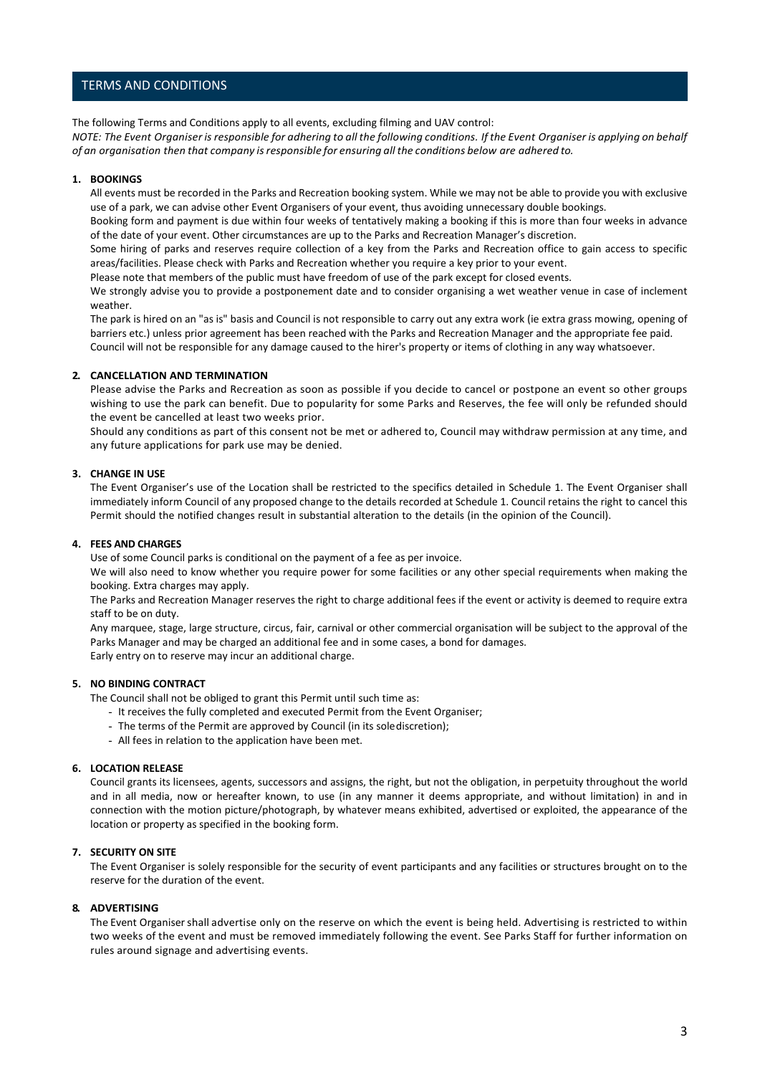## TERMS AND CONDITIONS

The following Terms and Conditions apply to all events, excluding filming and UAV control: NOTE: The Event Organiser is responsible for adhering to all the following conditions. If the Event Organiser is applying on behalf *of an organisation then that company isresponsible for ensuring all the conditions below are adhered to.*

## **1. BOOKINGS**

All events must be recorded in the Parks and Recreation booking system. While we may not be able to provide you with exclusive use of a park, we can advise other Event Organisers of your event, thus avoiding unnecessary double bookings.

Booking form and payment is due within four weeks of tentatively making a booking if this is more than four weeks in advance of the date of your event. Other circumstances are up to the Parks and Recreation Manager's discretion.

Some hiring of parks and reserves require collection of a key from the Parks and Recreation office to gain access to specific areas/facilities. Please check with Parks and Recreation whether you require a key prior to your event.

Please note that members of the public must have freedom of use of the park except for closed events.

We strongly advise you to provide a postponement date and to consider organising a wet weather venue in case of inclement weather.

The park is hired on an "as is" basis and Council is not responsible to carry out any extra work (ie extra grass mowing, opening of barriers etc.) unless prior agreement has been reached with the Parks and Recreation Manager and the appropriate fee paid. Council will not be responsible for any damage caused to the hirer's property or items of clothing in any way whatsoever.

## **2. CANCELLATION AND TERMINATION**

Please advise the Parks and Recreation as soon as possible if you decide to cancel or postpone an event so other groups wishing to use the park can benefit. Due to popularity for some Parks and Reserves, the fee will only be refunded should the event be cancelled at least two weeks prior.

Should any conditions as part of this consent not be met or adhered to, Council may withdraw permission at any time, and any future applications for park use may be denied.

## **3. CHANGE IN USE**

The Event Organiser's use of the Location shall be restricted to the specifics detailed in Schedule 1. The Event Organiser shall immediately inform Council of any proposed change to the details recorded at Schedule 1. Council retains the right to cancel this Permit should the notified changes result in substantial alteration to the details (in the opinion of the Council).

## **4. FEES AND CHARGES**

Use of some Council parks is conditional on the payment of a fee as per invoice.

We will also need to know whether you require power for some facilities or any other special requirements when making the booking. Extra charges may apply.

The Parks and Recreation Manager reserves the right to charge additional fees if the event or activity is deemed to require extra staff to be on duty.

Any marquee, stage, large structure, circus, fair, carnival or other commercial organisation will be subject to the approval of the Parks Manager and may be charged an additional fee and in some cases, a bond for damages. Early entry on to reserve may incur an additional charge.

## **5. NO BINDING CONTRACT**

The Council shall not be obliged to grant this Permit until such time as:

- It receives the fully completed and executed Permit from the Event Organiser;
- The terms of the Permit are approved by Council (in its solediscretion);
- All fees in relation to the application have been met.

## **6. LOCATION RELEASE**

Council grants its licensees, agents, successors and assigns, the right, but not the obligation, in perpetuity throughout the world and in all media, now or hereafter known, to use (in any manner it deems appropriate, and without limitation) in and in connection with the motion picture/photograph, by whatever means exhibited, advertised or exploited, the appearance of the location or property as specified in the booking form.

## **7. SECURITY ON SITE**

The Event Organiser is solely responsible for the security of event participants and any facilities or structures brought on to the reserve for the duration of the event.

## **8. ADVERTISING**

The Event Organiser shall advertise only on the reserve on which the event is being held. Advertising is restricted to within two weeks of the event and must be removed immediately following the event. See Parks Staff for further information on rules around signage and advertising events.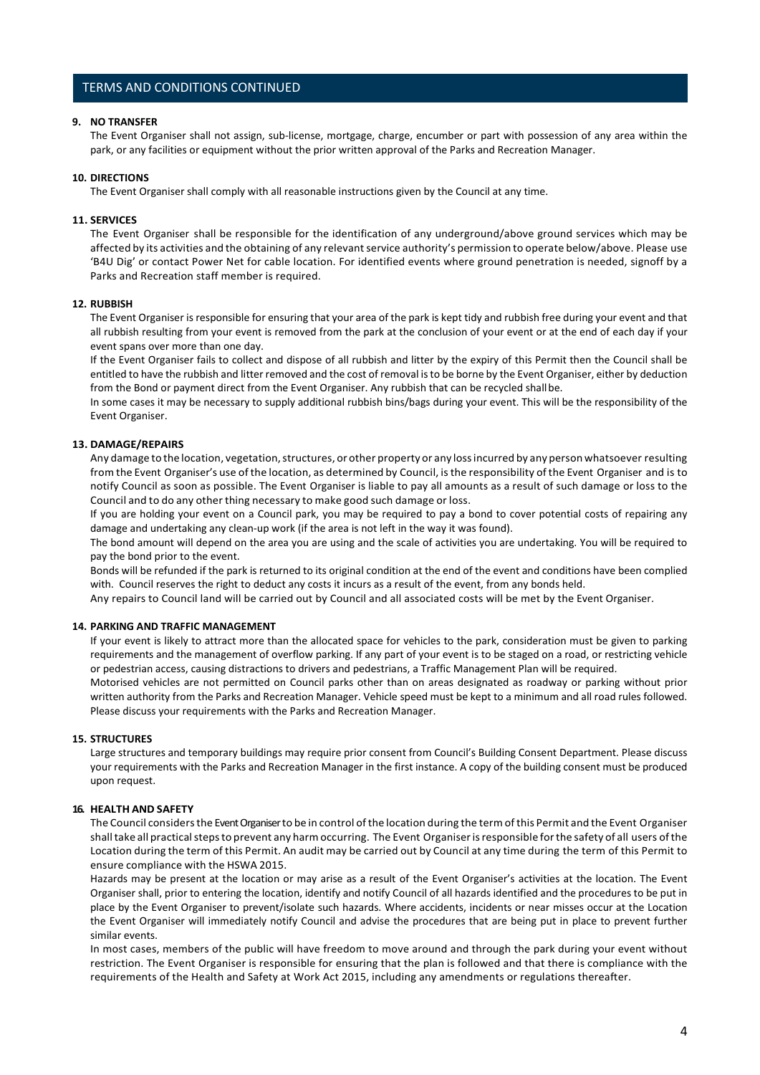## TERMS AND CONDITIONS CONTINUED

## **9. NO TRANSFER**

The Event Organiser shall not assign, sub-license, mortgage, charge, encumber or part with possession of any area within the park, or any facilities or equipment without the prior written approval of the Parks and Recreation Manager.

#### **10. DIRECTIONS**

The Event Organiser shall comply with all reasonable instructions given by the Council at any time.

#### **11. SERVICES**

The Event Organiser shall be responsible for the identification of any underground/above ground services which may be affected by its activities and the obtaining of any relevant service authority's permission to operate below/above. Please use 'B4U Dig' or contact Power Net for cable location. For identified events where ground penetration is needed, signoff by a Parks and Recreation staff member is required.

## **12. RUBBISH**

The Event Organiser is responsible for ensuring that your area of the park is kept tidy and rubbish free during your event and that all rubbish resulting from your event is removed from the park at the conclusion of your event or at the end of each day if your event spans over more than one day.

If the Event Organiser fails to collect and dispose of all rubbish and litter by the expiry of this Permit then the Council shall be entitled to have the rubbish and litter removed and the cost of removal is to be borne by the Event Organiser, either by deduction from the Bond or payment direct from the Event Organiser. Any rubbish that can be recycled shallbe.

In some cases it may be necessary to supply additional rubbish bins/bags during your event. This will be the responsibility of the Event Organiser.

## **13. DAMAGE/REPAIRS**

Any damage to the location, vegetation, structures, or other property or any loss incurred by any person whatsoever resulting from the Event Organiser's use of the location, as determined by Council, isthe responsibility of the Event Organiser and is to notify Council as soon as possible. The Event Organiser is liable to pay all amounts as a result of such damage or loss to the Council and to do any other thing necessary to make good such damage or loss.

If you are holding your event on a Council park, you may be required to pay a bond to cover potential costs of repairing any damage and undertaking any clean-up work (if the area is not left in the way it was found).

The bond amount will depend on the area you are using and the scale of activities you are undertaking. You will be required to pay the bond prior to the event.

Bonds will be refunded if the park is returned to its original condition at the end of the event and conditions have been complied with. Council reserves the right to deduct any costs it incurs as a result of the event, from any bonds held.

Any repairs to Council land will be carried out by Council and all associated costs will be met by the Event Organiser.

## **14. PARKING AND TRAFFIC MANAGEMENT**

If your event is likely to attract more than the allocated space for vehicles to the park, consideration must be given to parking requirements and the management of overflow parking. If any part of your event is to be staged on a road, or restricting vehicle or pedestrian access, causing distractions to drivers and pedestrians, a Traffic Management Plan will be required.

Motorised vehicles are not permitted on Council parks other than on areas designated as roadway or parking without prior written authority from the Parks and Recreation Manager. Vehicle speed must be kept to a minimum and all road rules followed. Please discuss your requirements with the Parks and Recreation Manager.

#### **15. STRUCTURES**

Large structures and temporary buildings may require prior consent from Council's Building Consent Department. Please discuss your requirements with the Parks and Recreation Manager in the first instance. A copy of the building consent must be produced upon request.

## **16. HEALTH AND SAFETY**

The Council considers the Event Organiser to be in control of the location during the term of this Permit and the Event Organiser shall take all practical steps to prevent any harm occurring. The Event Organiser is responsible for the safety of all users of the Location during the term of this Permit. An audit may be carried out by Council at any time during the term of this Permit to ensure compliance with the HSWA 2015.

Hazards may be present at the location or may arise as a result of the Event Organiser's activities at the location. The Event Organiser shall, prior to entering the location, identify and notify Council of all hazards identified and the procedures to be put in place by the Event Organiser to prevent/isolate such hazards. Where accidents, incidents or near misses occur at the Location the Event Organiser will immediately notify Council and advise the procedures that are being put in place to prevent further similar events.

In most cases, members of the public will have freedom to move around and through the park during your event without restriction. The Event Organiser is responsible for ensuring that the plan is followed and that there is compliance with the requirements of the Health and Safety at Work Act 2015, including any amendments or regulations thereafter.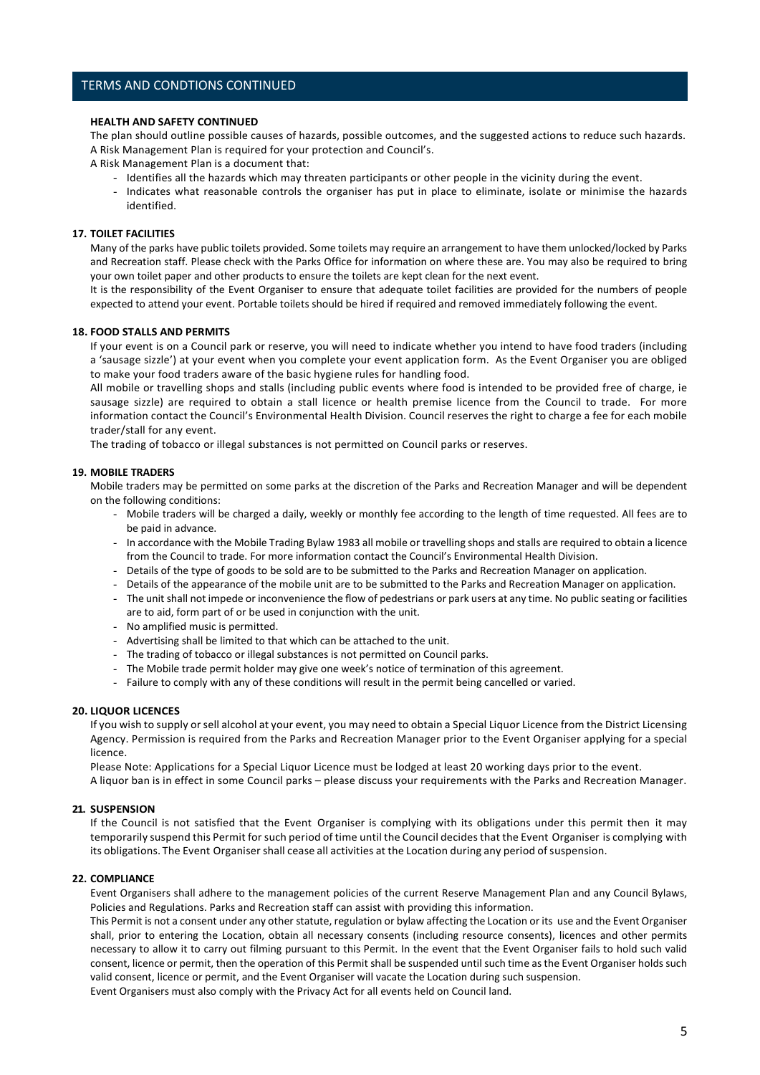## TERMS AND CONDTIONS CONTINUED

## **HEALTH AND SAFETY CONTINUED**

The plan should outline possible causes of hazards, possible outcomes, and the suggested actions to reduce such hazards. A Risk Management Plan is required for your protection and Council's.

- A Risk Management Plan is a document that:
	- Identifies all the hazards which may threaten participants or other people in the vicinity during the event.
	- Indicates what reasonable controls the organiser has put in place to eliminate, isolate or minimise the hazards identified.

## **17. TOILET FACILITIES**

Many of the parks have public toilets provided. Some toilets may require an arrangement to have them unlocked/locked by Parks and Recreation staff. Please check with the Parks Office for information on where these are. You may also be required to bring your own toilet paper and other products to ensure the toilets are kept clean for the next event.

It is the responsibility of the Event Organiser to ensure that adequate toilet facilities are provided for the numbers of people expected to attend your event. Portable toilets should be hired if required and removed immediately following the event.

#### **18. FOOD STALLS AND PERMITS**

If your event is on a Council park or reserve, you will need to indicate whether you intend to have food traders (including a 'sausage sizzle') at your event when you complete your event application form. As the Event Organiser you are obliged to make your food traders aware of the basic hygiene rules for handling food.

All mobile or travelling shops and stalls (including public events where food is intended to be provided free of charge, ie sausage sizzle) are required to obtain a stall licence or health premise licence from the Council to trade. For more information contact the Council's Environmental Health Division. Council reserves the right to charge a fee for each mobile trader/stall for any event.

The trading of tobacco or illegal substances is not permitted on Council parks or reserves.

## **19. MOBILE TRADERS**

Mobile traders may be permitted on some parks at the discretion of the Parks and Recreation Manager and will be dependent on the following conditions:

- Mobile traders will be charged a daily, weekly or monthly fee according to the length of time requested. All fees are to be paid in advance.
- In accordance with the Mobile Trading Bylaw 1983 all mobile or travelling shops and stalls are required to obtain a licence from the Council to trade. For more information contact the Council's Environmental Health Division.
- Details of the type of goods to be sold are to be submitted to the Parks and Recreation Manager on application.
- Details of the appearance of the mobile unit are to be submitted to the Parks and Recreation Manager on application.
- The unit shall not impede or inconvenience the flow of pedestrians or park users at any time. No public seating or facilities are to aid, form part of or be used in conjunction with the unit.
- No amplified music is permitted.
- Advertising shall be limited to that which can be attached to the unit.
- The trading of tobacco or illegal substances is not permitted on Council parks.
- The Mobile trade permit holder may give one week's notice of termination of this agreement.
- Failure to comply with any of these conditions will result in the permit being cancelled or varied.

#### **20. LIQUOR LICENCES**

If you wish to supply or sell alcohol at your event, you may need to obtain a Special Liquor Licence from the District Licensing Agency. Permission is required from the Parks and Recreation Manager prior to the Event Organiser applying for a special licence.

Please Note: Applications for a Special Liquor Licence must be lodged at least 20 working days prior to the event. A liquor ban is in effect in some Council parks – please discuss your requirements with the Parks and Recreation Manager.

## **21. SUSPENSION**

If the Council is not satisfied that the Event Organiser is complying with its obligations under this permit then it may temporarily suspend this Permit for such period of time until the Council decidesthat the Event Organiser is complying with its obligations. The Event Organiser shall cease all activities at the Location during any period of suspension.

## **22. COMPLIANCE**

Event Organisers shall adhere to the management policies of the current Reserve Management Plan and any Council Bylaws, Policies and Regulations. Parks and Recreation staff can assist with providing this information.

This Permit is not a consent under any other statute, regulation or bylaw affecting the Location or its use and the Event Organiser shall, prior to entering the Location, obtain all necessary consents (including resource consents), licences and other permits necessary to allow it to carry out filming pursuant to this Permit. In the event that the Event Organiser fails to hold such valid consent, licence or permit, then the operation of this Permit shall be suspended until such time as the Event Organiser holds such valid consent, licence or permit, and the Event Organiser will vacate the Location during such suspension.

Event Organisers must also comply with the Privacy Act for all events held on Council land.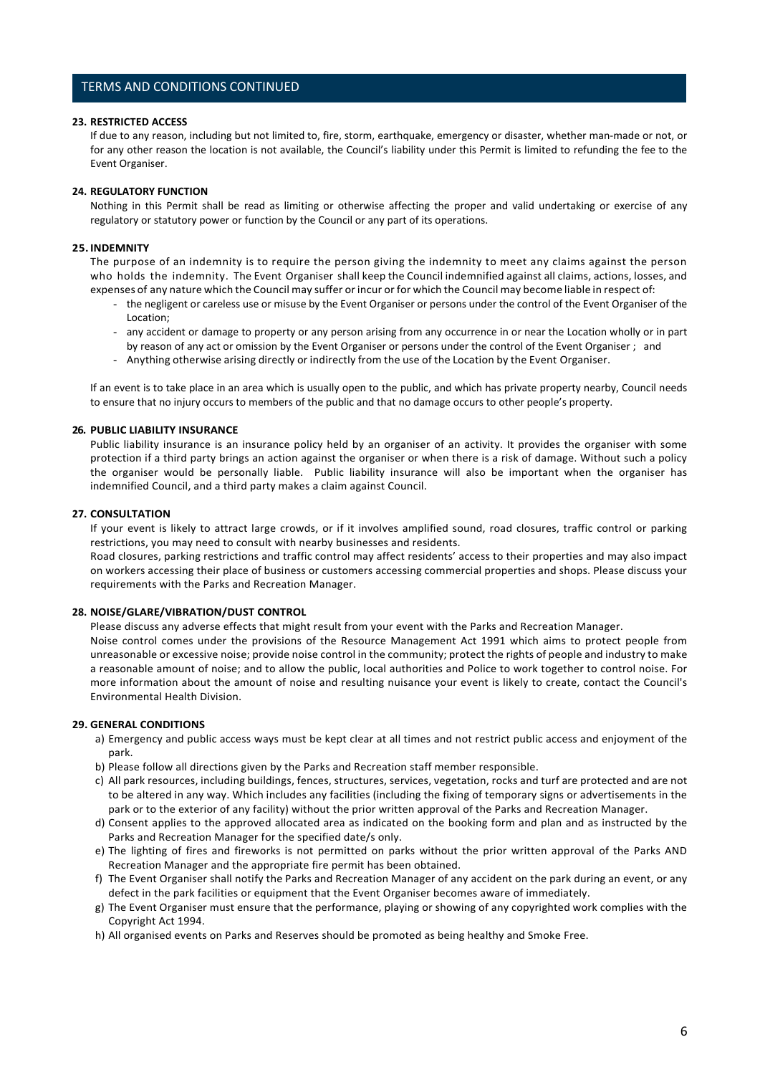## TERMS AND CONDITIONS CONTINUED

## **23. RESTRICTED ACCESS**

If due to any reason, including but not limited to, fire, storm, earthquake, emergency or disaster, whether man-made or not, or for any other reason the location is not available, the Council's liability under this Permit is limited to refunding the fee to the Event Organiser.

## **24. REGULATORY FUNCTION**

Nothing in this Permit shall be read as limiting or otherwise affecting the proper and valid undertaking or exercise of any regulatory or statutory power or function by the Council or any part of its operations.

## **25. INDEMNITY**

The purpose of an indemnity is to require the person giving the indemnity to meet any claims against the person who holds the indemnity. The Event Organiser shall keep the Council indemnified against all claims, actions, losses, and expenses of any nature which the Council may suffer or incur or for which the Council may become liable in respect of:

- the negligent or careless use or misuse by the Event Organiser or persons under the control of the Event Organiser of the Location;
- any accident or damage to property or any person arising from any occurrence in or near the Location wholly or in part by reason of any act or omission by the Event Organiser or persons under the control of the Event Organiser ; and
- Anything otherwise arising directly or indirectly from the use of the Location by the Event Organiser.

If an event is to take place in an area which is usually open to the public, and which has private property nearby, Council needs to ensure that no injury occurs to members of the public and that no damage occurs to other people's property.

## **26. PUBLIC LIABILITY INSURANCE**

Public liability insurance is an insurance policy held by an organiser of an activity. It provides the organiser with some protection if a third party brings an action against the organiser or when there is a risk of damage. Without such a policy the organiser would be personally liable. Public liability insurance will also be important when the organiser has indemnified Council, and a third party makes a claim against Council.

## **27. CONSULTATION**

If your event is likely to attract large crowds, or if it involves amplified sound, road closures, traffic control or parking restrictions, you may need to consult with nearby businesses and residents.

Road closures, parking restrictions and traffic control may affect residents' access to their properties and may also impact on workers accessing their place of business or customers accessing commercial properties and shops. Please discuss your requirements with the Parks and Recreation Manager.

## **28. NOISE/GLARE/VIBRATION/DUST CONTROL**

Please discuss any adverse effects that might result from your event with the Parks and Recreation Manager.

Noise control comes under the provisions of the Resource Management Act 1991 which aims to protect people from unreasonable or excessive noise; provide noise control in the community; protect the rights of people and industry to make a reasonable amount of noise; and to allow the public, local authorities and Police to work together to control noise. For more information about the amount of noise and resulting nuisance your event is likely to create, contact the Council's Environmental Health Division.

## **29. GENERAL CONDITIONS**

- a) Emergency and public access ways must be kept clear at all times and not restrict public access and enjoyment of the park.
- b) Please follow all directions given by the Parks and Recreation staff member responsible.
- c) All park resources, including buildings, fences, structures, services, vegetation, rocks and turf are protected and are not to be altered in any way. Which includes any facilities (including the fixing of temporary signs or advertisements in the park or to the exterior of any facility) without the prior written approval of the Parks and Recreation Manager.
- d) Consent applies to the approved allocated area as indicated on the booking form and plan and as instructed by the Parks and Recreation Manager for the specified date/s only.
- e) The lighting of fires and fireworks is not permitted on parks without the prior written approval of the Parks AND Recreation Manager and the appropriate fire permit has been obtained.
- f) The Event Organiser shall notify the Parks and Recreation Manager of any accident on the park during an event, or any defect in the park facilities or equipment that the Event Organiser becomes aware of immediately.
- g) The Event Organiser must ensure that the performance, playing or showing of any copyrighted work complies with the Copyright Act 1994.
- h) All organised events on Parks and Reserves should be promoted as being healthy and Smoke Free.